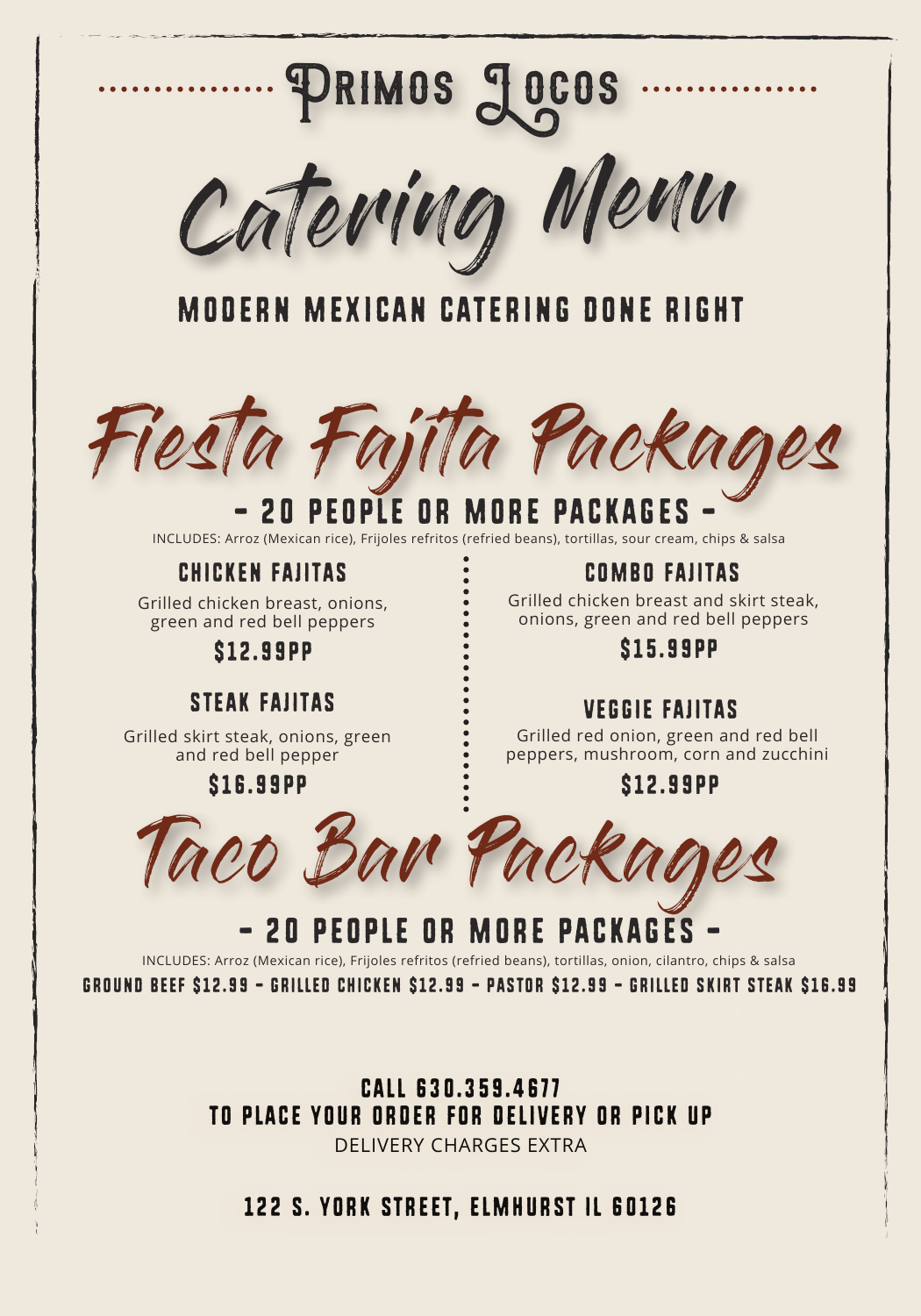# Modern Mexican Catering Done Right

# a Fajita Packad

INCLUDES: Arroz (Mexican rice), Frijoles refritos (refried beans), tortillas, sour cream, chips & salsa

Grilled chicken breast, onions, green and red bell peppers

\$12.99pp

# CHICKEN FAJITAS

Grilled skirt steak, onions, green and red bell pepper

# \$16.99pp



# STEAK FAJITAS

Grilled chicken breast and skirt steak, onions, green and red bell peppers



# \$15.99pP

# COMBO FAJITAS

Grilled red onion, green and red bell peppers, mushroom, corn and zucchini

# \$12.99pp

# VEGGIE FAJITAS



INCLUDES: Arroz (Mexican rice), Frijoles refritos (refried beans), tortillas, onion, cilantro, chips & salsa

GROUND BEEF \$12.99 - GRILLED CHICKEN \$12.99 - PASTOR \$12.99 - GRILLED SKIRT STEAK \$16.99

# Call 630.359.4677 to place your order for delivery or pick up DELIVERY CHARGES EXTRA

122 s. york street, elmhurst IL 60126